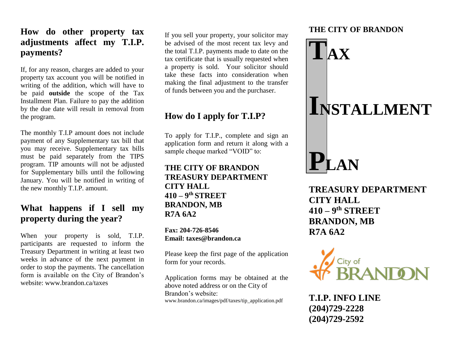#### **How do other property tax adjustments affect my T.I.P. payments?**

If, for any reason, charges are added to your property tax account you will be notified in writing of the addition, which will have to be paid **outside** the scope of the Tax Installment Plan. Failure to pay the addition by the due date will result in removal from the program.

The monthly T.I.P amount does not include payment of any Supplementary tax bill that you may receive. Supplementary tax bills must be paid separately from the TIPS program. TIP amounts will not be adjusted for Supplementary bills until the following January. You will be notified in writing of the new monthly T.I.P. amount.

#### **What happens if I sell my property during the year?**

When your property is sold, T.I.P. participants are requested to inform the Treasury Department in writing at least two weeks in advance of the next payment in order to stop the payments. The cancellation form is available on the City of Brandon's website: www.brandon.ca/taxes

If you sell your property, your solicitor may be advised of the most recent tax levy and the total T.I.P. payments made to date on the tax certificate that is usually requested when a property is sold. Your solicitor should take these facts into consideration when making the final adjustment to the transfer of funds between you and the purchaser.

## **How do I apply for T.I.P?**

To apply for T.I.P., complete and sign an application form and return it along with a sample cheque marked "VOID" to:

#### **THE CITY OF BRANDON TREASURY DEPARTMENT CITY HALL 410 – 9 th STREET BRANDON, MB R7A 6A2**

**Fax: 204-726-8546 Email: taxes@brandon.ca**

Please keep the first page of the application form for your records.

Application forms may be obtained at the above noted address or on the City of Brandon's website: www.brandon.ca/images/pdf/taxes/tip\_application.pdf

#### **THE CITY OF BRANDON**



**TREASURY DEPARTMENT CITY HALL 410 – 9 th STREET BRANDON, MB R7A 6A2**



**T.I.P. INFO LINE (204)729-2228 (204)729-2592**